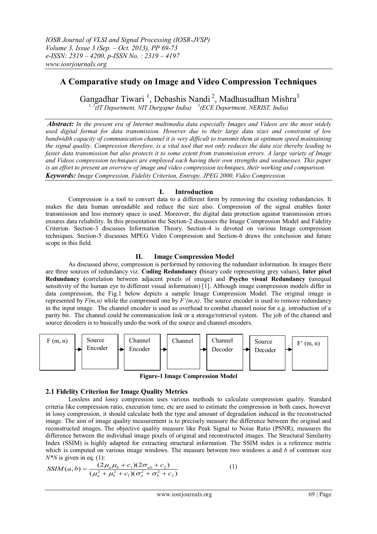# **A Comparative study on Image and Video Compression Techniques**

Gangadhar Tiwari<sup>1</sup>, Debashis Nandi<sup>2</sup>, Madhusudhan Mishra<sup>3</sup> *1, 2(IT Department, NIT Durgapur India) <sup>3</sup> (ECE Department, NERIST, India)*

*Abstract: In the present era of Internet multimedia data especially Images and Videos are the most widely used digital format for data transmission. However due to their large data sizes and constraint of low bandwidth capacity of communication channel it is very difficult to transmit them at optimum speed maintaining the signal quality. Compression therefore, is a vital tool that not only reduces the data size thereby leading to faster data transmission but also protects it to some extent from transmission errors. A large variety of Image and Videos compression techniques are employed each having their own strengths and weaknesses. This paper is an effort to present an overview of image and video compression techniques, their working and comparison. Keywords: Image Compression, Fidelity Criterion, Entropy, JPEG 2000, Video Compression*

# **I. Introduction**

Compression is a tool to convert data to a different form by removing the existing redundancies. It makes the data human unreadable and reduce the size also. Compression of the signal enables faster transmission and less memory space is used. Moreover, the digital data protection against transmission errors ensures data reliability. In this presentation the Section-2 discusses the Image Compression Model and Fidelity Criterion. Section-3 discusses Information Theory. Section-4 is devoted on various Image compression techniques. Section-5 discusses MPEG Video Compression and Section-6 draws the conclusion and future scope in this field.

# **II. Image Compression Model**

As discussed above, compression is performed by removing the redundant information. In images there are three sources of redundancy viz. **Coding Redundancy (**binary code representing grey values), **Inter pixel Redundancy (**correlation between adjacent pixels of image) and **Psycho visual Redundancy (**unequal sensitivity of the human eye to different visual information) [1]. Although image compression models differ in data compression, the Fig.1 below depicts a sample Image Compression Model. The original image is represented by  $F(m,n)$  while the compressed one by  $F'(m,n)$ . The source encoder is used to remove redundancy in the input image. The channel encoder is used as overhead to combat channel noise for e.g. introduction of a parity bit. The channel could be communication link or a storage/retrieval system. The job of the channel and source decoders is to basically undo the work of the source and channel encoders.



**Figure-1 Image Compression Model**

# **2.1 Fidelity Criterion for Image Quality Metrics**

Lossless and lossy compression uses various methods to calculate compression quality. Standard criteria like compression ratio, execution time, etc are used to estimate the compression in both cases, however in lossy compression, it should calculate both the type and amount of degradation induced in the reconstructed image. The aim of image quality measurement is to precisely measure the difference between the original and reconstructed images**.** The objective quality measure like Peak Signal to Noise Ratio (PSNR), measures the difference between the individual image pixels of original and reconstructed images. The Structural Similarity Index (SSIM) is highly adapted for extracting structural information. The SSIM index is a reference metric which is computed on various image windows. The measure between two windows a and *b* of common size  $N^*N$  is given in eq. (1):

$$
NSIM(a,b) = \frac{(2\mu_a\mu_b + c_1)(2\sigma_{ab} + c_2)}{(\mu_a^2 + \mu_b^2 + c_1)(\sigma_a^2 + \sigma_b^2 + c_2)}
$$
(1)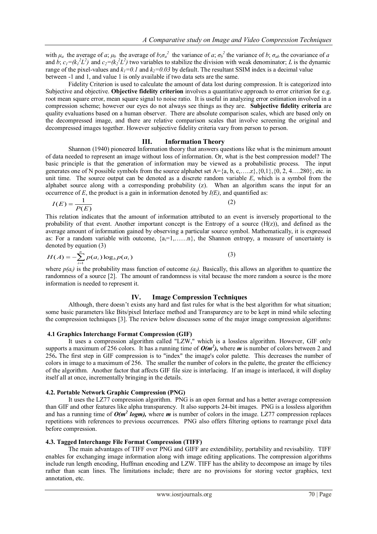with  $\mu_a$  the average of a;  $\mu_b$  the average of  $b;\sigma_a^2$  the variance of a;  $\sigma_b^2$  the variance of b;  $\sigma_{ab}$  the covariance of a and b;  $c_1 = (k_1^2 L^2)$  and  $c_2 = (k_2^2 L^2)$  two variables to stabilize the division with weak denominator; L is the dynamic range of the pixel-values and  $k_1 = 0.1$  and  $k_2 = 0.03$  by default. The resultant SSIM index is a decimal value between -1 and 1, and value 1 is only available if two data sets are the same.

Fidelity Criterion is used to calculate the amount of data lost during compression. It is categorized into Subjective and objective. **Objective fidelity criterion** involves a quantitative approach to error criterion for e.g. root mean square error, mean square signal to noise ratio. It is useful in analyzing error estimation involved in a compression scheme; however our eyes do not always see things as they are. **Subjective fidelity criteria** are quality evaluations based on a human observer. There are absolute comparison scales, which are based only on the decompressed image, and there are relative comparison scales that involve screening the original and decompressed images together. However subjective fidelity criteria vary from person to person.

#### **III. Information Theory**

Shannon (1940) pioneered Information theory that answers questions like what is the minimum amount of data needed to represent an image without loss of information. Or, what is the best compression model? The basic principle is that the generation of information may be viewed as a probabilistic process. The input generates one of N possible symbols from the source alphabet set  $A = \{a, b, c, \ldots z\}, \{0, 1\}, \{0, 2, 4, \ldots, 280\},$  etc. in unit time. The source output can be denoted as a discrete random variable *E*, which is a symbol from the alphabet source along with a corresponding probability (z). When an algorithm scans the input for an occurrence of  $E$ , the product is a gain in information denoted by  $I(E)$ , and quantified as:

$$
I(E) = \frac{1}{P(E)}\tag{2}
$$

This relation indicates that the amount of information attributed to an event is inversely proportional to the probability of that event. Another important concept is the Entropy of a source  $(H(z))$ , and defined as the average amount of information gained by observing a particular source symbol. Mathematically, it is expressed as: For a random variable with outcome,  $\{a_i=1,\ldots,n\}$ , the Shannon entropy, a measure of uncertainty is denoted by equation (3)

$$
H(A) = -\sum_{i=1}^{n} p(a_i) \log_b p(a_i)
$$
 (3)

where  $p(a_i)$  is the probability mass function of outcome  $(a_i)$ . Basically, this allows an algorithm to quantize the randomness of a source [2]. The amount of randomness is vital because the more random a source is the more information is needed to represent it.

# **IV. Image Compression Techniques**

Although, there doesn't exists any hard and fast rules for what is the best algorithm for what situation; some basic parameters like Bits/pixel Interlace method and Transparency are to be kept in mind while selecting the compression techniques [3]. The review below discusses some of the major image compression algorithms:

#### **4.1 Graphics Interchange Format Compression (GIF)**

It uses a compression algorithm called "LZW," which is a lossless algorithm. However, GIF only supports a maximum of 256 colors. It has a running time of  $O(m^2)$ , where *m* is number of colors between 2 and 256**.** The first step in GIF compression is to "index" the image's color palette. This decreases the number of colors in image to a maximum of 256. The smaller the number of colors in the palette, the greater the efficiency of the algorithm. Another factor that affects GIF file size is interlacing. If an image is interlaced, it will display itself all at once, incrementally bringing in the details.

#### **4.2. Portable Network Graphic Compression (PNG)**

It uses the LZ77 compression algorithm. PNG is an open format and has a better average compression than GIF and other features like alpha transparency. It also supports 24-bit images. PNG is a lossless algorithm and has a running time of  $O(m^2 log m)$ , where *m* is number of colors in the image. LZ77 compression replaces repetitions with references to previous occurrences. PNG also offers filtering options to rearrange pixel data before compression.

### **4.3. Tagged Interchange File Format Compression (TIFF)**

The main advantages of TIFF over PNG and GIFF are extendibility, portability and revisability. TIFF enables for exchanging image information along with image editing applications. The compression algorithms include run length encoding, Huffman encoding and LZW. TIFF has the ability to decompose an image by tiles rather than scan lines. The limitations include; there are no provisions for storing vector graphics, text annotation, etc.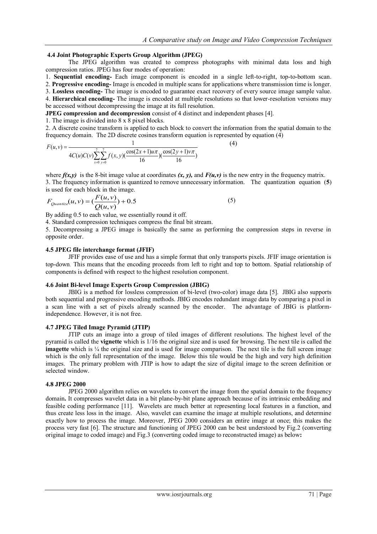(4)

# **4.4 Joint Photographic Experts Group Algorithm (JPEG)**

The JPEG algorithm was created to compress photographs with minimal data loss and high compression ratios. JPEG has four modes of operation:

1. **Sequential encoding-** Each image component is encoded in a single left-to-right, top-to-bottom scan.

2. **Progressive encoding-** Image is encoded in multiple scans for applications where transmission time is longer.

3. **Lossless encoding-** The image is encoded to guarantee exact recovery of every source image sample value. 4. **Hierarchical encoding-** The image is encoded at multiple resolutions so that lower-resolution versions may

be accessed without decompressing the image at its full resolution.

**JPEG compression and decompression** consist of 4 distinct and independent phases [4].

1. The image is divided into 8 x 8 pixel blocks.

2. A discrete cosine transform is applied to each block to convert the information from the spatial domain to the frequency domain. The 2D discrete cosines transform equation is represented by equation (4)

$$
F(u, v) = \frac{1}{4C(u)C(v)\sum_{x=0}^{7}\sum_{y=0}^{7}f(x, y)(\frac{\cos(2x+1)u\pi}{16})(\frac{\cos(2y+1)v\pi}{16})}
$$

where  $f(x, y)$  is the 8-bit image value at coordinates  $(x, y)$ , and  $F(u, v)$  is the new entry in the frequency matrix. 3. The frequency information is quantized to remove unnecessary information. The quantization equation (**5**) is used for each block in the image.

$$
F_{Quantize}(u, v) = \left(\frac{F(u, v)}{Q(u, v)}\right) + 0.5\tag{5}
$$

By adding 0.5 to each value, we essentially round it off.

4. Standard compression techniques compress the final bit stream.

5. Decompressing a JPEG image is basically the same as performing the compression steps in reverse in opposite order.

# **4.5 JPEG file interchange format (JFIF)**

JFIF provides ease of use and has a simple format that only transports pixels. JFIF image orientation is top-down. This means that the encoding proceeds from left to right and top to bottom. Spatial relationship of components is defined with respect to the highest resolution component.

## **4.6 Joint Bi-level Image Experts Group Compression (JBIG)**

JBIG is a method for lossless compression of bi-level (two-color) image data [5]. JBIG also supports both sequential and progressive encoding methods. JBIG encodes redundant image data by comparing a pixel in a scan line with a set of pixels already scanned by the encoder. The advantage of JBIG is platformindependence. However, it is not free.

## **4.7 JPEG Tiled Image Pyramid (JTIP)**

JTIP cuts an image into a group of tiled images of different resolutions. The highest level of the pyramid is called the **vignette** which is 1/16 the original size and is used for browsing. The next tile is called the **imagette** which is  $\frac{1}{4}$  the original size and is used for image comparison. The next tile is the full screen image which is the only full representation of the image. Below this tile would be the high and very high definition images. The primary problem with JTIP is how to adapt the size of digital image to the screen definition or selected window.

## **4.8 JPEG 2000**

JPEG 2000 algorithm relies on wavelets to convert the image from the spatial domain to the frequency domain**.** It compresses wavelet data in a bit plane-by-bit plane approach because of its intrinsic embedding and feasible coding performance [11]. Wavelets are much better at representing local features in a function, and thus create less loss in the image. Also, wavelet can examine the image at multiple resolutions, and determine exactly how to process the image. Moreover, JPEG 2000 considers an entire image at once; this makes the process very fast [6]. The structure and functioning of JPEG 2000 can be best understood by Fig.2 (converting original image to coded image) and Fig.3 (converting coded image to reconstructed image) as below**:**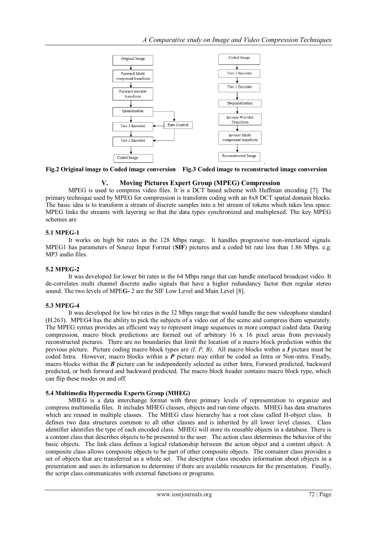

**Fig.2 Original image to Coded image conversion Fig.3 Coded image to reconstructed image conversion**

# **V. Moving Pictures Expert Group (MPEG) Compression**

MPEG is used to compress video files. It is a DCT based scheme with Huffman encoding [7]. The primary technique used by MPEG for compression is transform coding with an 8x8 DCT spatial domain blocks. The basic idea is to transform a stream of discrete samples into a bit stream of tokens which takes less space. MPEG links the streams with layering so that the data types synchronized and multiplexed. The key MPEG schemes are

# **5.1 MPEG-1**

It works on high bit rates in the 128 Mbps range. It handles progressive non-interlaced signals. MPEG1 has parameters of Source Input Format (**SIF**) pictures and a coded bit rate less than 1.86 Mbps. e.g. MP3 audio files.

# **5.2 MPEG-2**

It was developed for lower bit rates in the 64 Mbps range that can handle interlaced broadcast video. It de-correlates multi channel discrete audio signals that have a higher redundancy factor then regular stereo sound. The two levels of MPE**G-** 2 are the SIF Low Level and Main Level [8].

# **5.3 MPEG-4**

It was developed for low bit rates in the 32 Mbps range that would handle the new videophone standard (H.263). MPEG4 has the ability to pick the subjects of a video out of the scene and compress them separately. The MPEG syntax provides an efficient way to represent image sequences in more compact coded data. During compression, macro block predictions are formed out of arbitrary 16 x 16 pixel areas from previously reconstructed pictures. There are no boundaries that limit the location of a macro block prediction within the previous picture. Picture coding macro block types are *(I, P, B)*. All macro blocks within a *I* picture must be coded Intra. However, macro blocks within a *P* picture may either be coded as Intra or Non-intra. Finally, macro blocks within the *B* picture can be independently selected as either Intra, Forward predicted, backward predicted, or both forward and backward predicted. The macro block header contains macro block type, which can flip these modes on and off.

# **5.4 Multimedia Hypermedia Experts Group (MHEG)**

MHEG is a data interchange format with three primary levels of representation to organize and compress multimedia files. It includes MHEG classes, objects and run-time objects. MHEG has data structures which are reused in multiple classes. The MHEG class hierarchy has a root class called H-object class. It defines two data structures common to all other classes and is inherited by all lower level classes. Class identifier identifies the type of each encoded class. MHEG will store its reusable objects in a database. There is a content class that describes objects to be presented to the user. The action class determines the behavior of the basic objects. The link class defines a logical relationship between the action object and a content object. A composite class allows composite objects to be part of other composite objects. The container class provides a set of objects that are transferred as a whole set. The descriptor class encodes information about objects in a presentation and uses its information to determine if there are available resources for the presentation. Finally, the script class communicates with external functions or programs.